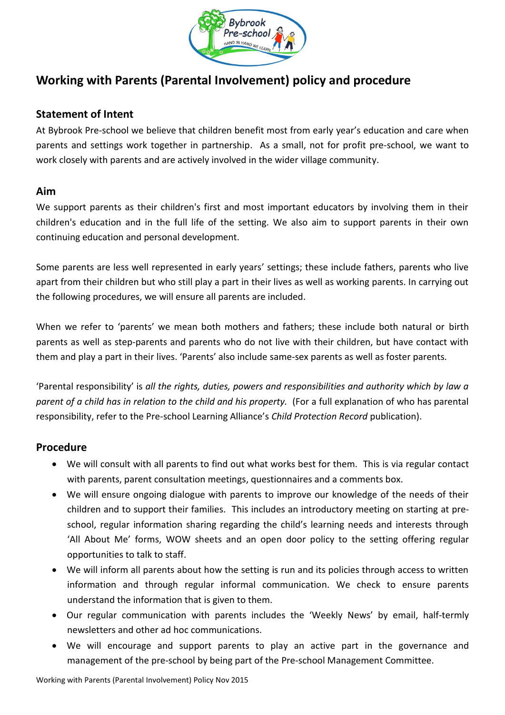

# **Working with Parents (Parental Involvement) policy and procedure**

## **Statement of Intent**

At Bybrook Pre-school we believe that children benefit most from early year's education and care when parents and settings work together in partnership. As a small, not for profit pre-school, we want to work closely with parents and are actively involved in the wider village community.

## **Aim**

We support parents as their children's first and most important educators by involving them in their children's education and in the full life of the setting. We also aim to support parents in their own continuing education and personal development.

Some parents are less well represented in early years' settings; these include fathers, parents who live apart from their children but who still play a part in their lives as well as working parents. In carrying out the following procedures, we will ensure all parents are included.

When we refer to 'parents' we mean both mothers and fathers; these include both natural or birth parents as well as step-parents and parents who do not live with their children, but have contact with them and play a part in their lives. 'Parents' also include same-sex parents as well as foster parents.

'Parental responsibility' is *all the rights, duties, powers and responsibilities and authority which by law a parent of a child has in relation to the child and his property.* (For a full explanation of who has parental responsibility, refer to the Pre-school Learning Alliance's *Child Protection Record* publication).

## **Procedure**

- We will consult with all parents to find out what works best for them. This is via regular contact with parents, parent consultation meetings, questionnaires and a comments box.
- We will ensure ongoing dialogue with parents to improve our knowledge of the needs of their children and to support their families. This includes an introductory meeting on starting at preschool, regular information sharing regarding the child's learning needs and interests through 'All About Me' forms, WOW sheets and an open door policy to the setting offering regular opportunities to talk to staff.
- We will inform all parents about how the setting is run and its policies through access to written information and through regular informal communication. We check to ensure parents understand the information that is given to them.
- Our regular communication with parents includes the 'Weekly News' by email, half-termly newsletters and other ad hoc communications.
- We will encourage and support parents to play an active part in the governance and management of the pre-school by being part of the Pre-school Management Committee.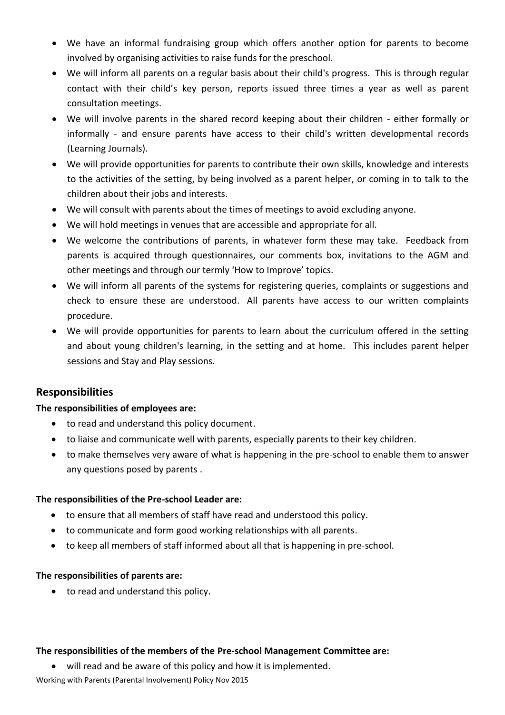- We have an informal fundraising group which offers another option for parents to become involved by organising activities to raise funds for the preschool.
- We will inform all parents on a regular basis about their child's progress. This is through regular contact with their child's key person, reports issued three times a year as well as parent consultation meetings.
- We will involve parents in the shared record keeping about their children either formally or informally - and ensure parents have access to their child's written developmental records (Learning Journals).
- We will provide opportunities for parents to contribute their own skills, knowledge and interests to the activities of the setting, by being involved as a parent helper, or coming in to talk to the children about their jobs and interests.
- We will consult with parents about the times of meetings to avoid excluding anyone.
- We will hold meetings in venues that are accessible and appropriate for all.
- We welcome the contributions of parents, in whatever form these may take. Feedback from parents is acquired through questionnaires, our comments box, invitations to the AGM and other meetings and through our termly 'How to Improve' topics.
- We will inform all parents of the systems for registering queries, complaints or suggestions and check to ensure these are understood. All parents have access to our written complaints procedure.
- We will provide opportunities for parents to learn about the curriculum offered in the setting and about young children's learning, in the setting and at home. This includes parent helper sessions and Stay and Play sessions.

## **Responsibilities**

### **The responsibilities of employees are:**

- to read and understand this policy document.
- to liaise and communicate well with parents, especially parents to their key children.
- to make themselves very aware of what is happening in the pre-school to enable them to answer any questions posed by parents .

### **The responsibilities of the Pre-school Leader are:**

- to ensure that all members of staff have read and understood this policy.
- to communicate and form good working relationships with all parents.
- to keep all members of staff informed about all that is happening in pre-school.

### **The responsibilities of parents are:**

• to read and understand this policy.

### **The responsibilities of the members of the Pre-school Management Committee are:**

Working with Parents (Parental Involvement) Policy Nov 2015 will read and be aware of this policy and how it is implemented.